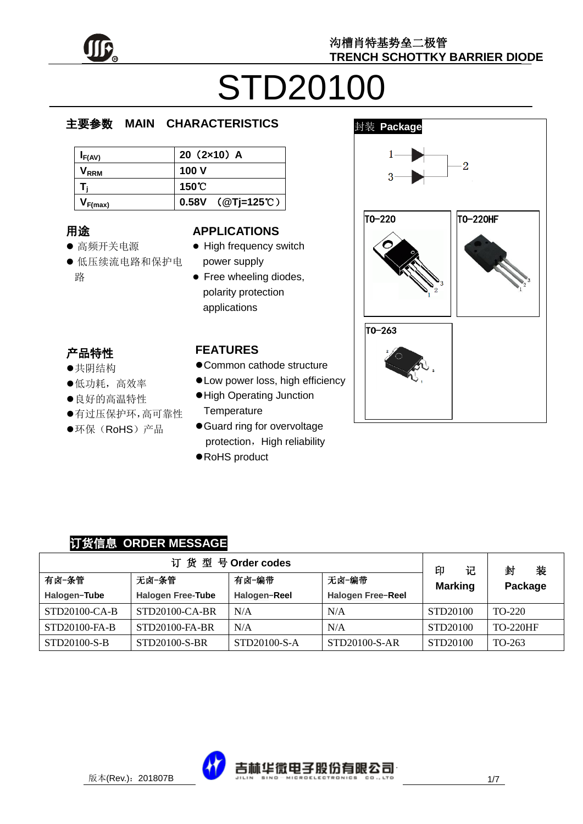

# STD20100

#### e  $\overline{\phantom{a}}$ 主要参数 **MAIN CHARACTERISTICS**

| $I_{F(AV)}$      | $20(2x10)$ A        |
|------------------|---------------------|
| V <sub>rrm</sub> | 100 V               |
|                  | 150℃                |
| $V_{F(max)}$     | $0.58V$ (@Tj=125°C) |

## 用途

- ……<br>● 高频开关电源
- יי<br>ל 低压续流电路和保护电 r. 路

#### **APPLICATIONS**

- High frequency switch power supply
- Free wheeling diodes, polarity protection applications

## 产品特性

- , H-IVI工<br>●共阴结构
- 大切地市<br>●低功耗,高效率
- ●良好的高温特性
- 有过压保护环,高可靠性
- $\hat{\cdot}$  $\overline{a}$ ●环保(RoHS)产品



- Common cathode structure
- Low power loss, high efficiency
- High Operating Junction **Temperature**
- Guard ring for overvoltage protection, High reliability
- RoHS product



### 订货信息 **ORDER MESSAGE**

| 订货型号Order codes                  |                          |              |                   |                          | 装<br>封          |
|----------------------------------|--------------------------|--------------|-------------------|--------------------------|-----------------|
| 无卤-编带<br>有卤-条管<br>有卤-编带<br>无卤-条管 |                          |              |                   | 印<br>记<br><b>Marking</b> | Package         |
| Halogen-Tube                     | <b>Halogen Free-Tube</b> | Halogen-Reel | Halogen Free-Reel |                          |                 |
| STD20100-CA-B                    | $STD20100-CA-BR$         | N/A          | N/A               | STD20100                 | $TO-220$        |
| STD20100-FA-B                    | STD20100-FA-BR           | N/A          | N/A               | STD20100                 | <b>TO-220HF</b> |
| STD20100-S-B                     | STD20100-S-BR            | STD20100-S-A | STD20100-S-AR     | STD20100                 | TO-263          |

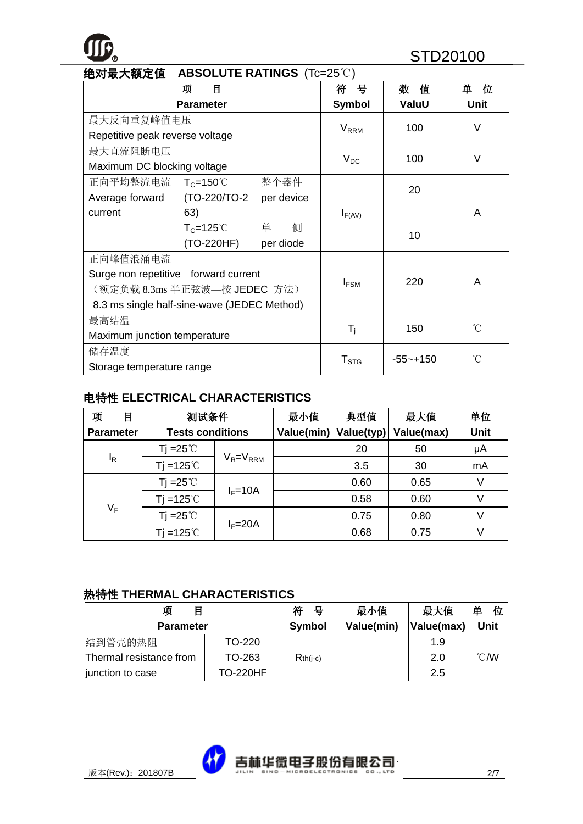# **R** STD20100

| 绝对最大额定值<br><b>ABSOLUTE RATINGS</b> (Tc=25°C) |                              |            |                         |              |             |  |
|----------------------------------------------|------------------------------|------------|-------------------------|--------------|-------------|--|
|                                              | 项<br>目                       |            | 뮹<br>符                  | 数<br>值       | 单<br>位      |  |
|                                              | <b>Parameter</b>             |            | <b>Symbol</b>           | ValuU        | <b>Unit</b> |  |
| 最大反向重复峰值电压                                   |                              |            | <b>V</b> <sub>RRM</sub> | 100          | $\vee$      |  |
| Repetitive peak reverse voltage              |                              |            |                         |              |             |  |
| 最大直流阻断电压                                     |                              |            |                         | 100          | $\vee$      |  |
| Maximum DC blocking voltage                  |                              |            | $V_{DC}$                |              |             |  |
| 正向平均整流电流                                     | $T_c = 150^{\circ}$          | 整个器件       |                         | 20           |             |  |
| Average forward                              | (TO-220/TO-2                 | per device |                         |              |             |  |
| current                                      | 63)                          |            | $I_{F(AV)}$             |              | A           |  |
| 侧<br>$T_c = 125^\circ C$<br>单                |                              |            |                         | 10           |             |  |
|                                              | (TO-220HF)<br>per diode      |            |                         |              |             |  |
| 正向峰值浪涌电流                                     |                              |            |                         |              |             |  |
| Surge non repetitive forward current         |                              |            | $I_{FSM}$               | 220          | A           |  |
|                                              | (额定负载 8.3ms 半正弦波—按 JEDEC 方法) |            |                         |              |             |  |
| 8.3 ms single half-sine-wave (JEDEC Method)  |                              |            |                         |              |             |  |
| 最高结温                                         |                              |            | $\rm ^{\circ}C$         |              |             |  |
| Maximum junction temperature                 |                              |            | $\mathsf{T}_\mathsf{i}$ | 150          |             |  |
| 储存温度                                         |                              |            |                         | $-55 - +150$ | °Ω          |  |
| Storage temperature range                    |                              |            | ${\sf T}_{\text{STG}}$  |              |             |  |

#### 电特性 **ELECTRICAL CHARACTERISTICS**

| 项<br>目           | 测试条件                    |                 | 最小值        | 典型值        | 最大值        | 单位   |
|------------------|-------------------------|-----------------|------------|------------|------------|------|
| <b>Parameter</b> | <b>Tests conditions</b> |                 | Value(min) | Value(typ) | Value(max) | Unit |
|                  | Tj =25 $\degree$ C      | $V_R = V_{RRM}$ |            | 20         | 50         | μA   |
| l <sub>R</sub>   | $Ti = 125^{\circ}$      |                 |            | 3.5        | 30         | mA   |
| $V_F$            | Tj =25 $\degree$ C      | $I_F = 10A$     |            | 0.60       | 0.65       | V    |
|                  | Tj =125 $°C$            |                 |            | 0.58       | 0.60       | V    |
|                  | Tj = $25^{\circ}$ C     |                 |            | 0.75       | 0.80       | V    |
|                  | $Ti = 125^{\circ}$      | $I_F = 20A$     |            | 0.68       | 0.75       |      |

#### 热特性 **THERMAL CHARACTERISTICS**

| 项<br>目                  |                 | 符<br>号        | 最小值        | 最大值        | 单<br>位         |
|-------------------------|-----------------|---------------|------------|------------|----------------|
| <b>Parameter</b>        |                 | <b>Symbol</b> | Value(min) | Value(max) | Unit           |
| 结到管壳的热阻                 | TO-220          |               |            | 1.9        |                |
| Thermal resistance from | TO-263          | $Rth(i-c)$    |            | 2.0        | $^{\circ}$ CMV |
| junction to case        | <b>TO-220HF</b> |               |            | 2.5        |                |

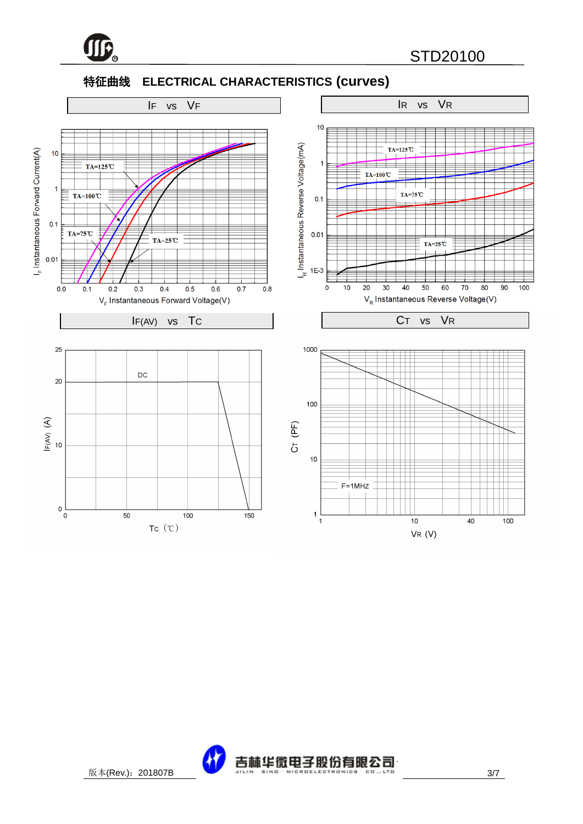

#### 特征曲线 **ELECTRICAL CHARACTERISTICS (curves)**



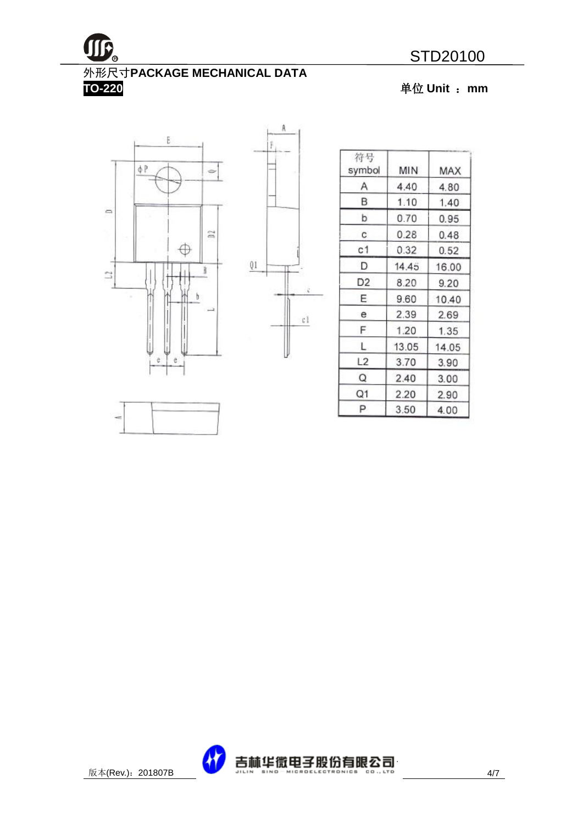

**TO-220** 单位 **Unit** :**mm**





| 符号<br>symbol   | MIN   | MAX   |
|----------------|-------|-------|
| Α              | 4.40  | 4.80  |
| В              | 1.10  | 1.40  |
| þ              | 0.70  | 0.95  |
| C.             | 0.28  | 0.48  |
| с1             | 0.32  | 0.52  |
| D              | 14.45 | 16.00 |
| D <sub>2</sub> | 8.20  | 9.20  |
| E              | 9.60  | 10.40 |
| е              | 2.39  | 2.69  |
| F              | 1.20  | 1.35  |
| L              | 13.05 | 14.05 |
| L2             | 3.70  | 3.90  |
| Q              | 2.40  | 3.00  |
| Q1             | 2.20  | 2.90  |
| P              | 3.50  | 4.00  |

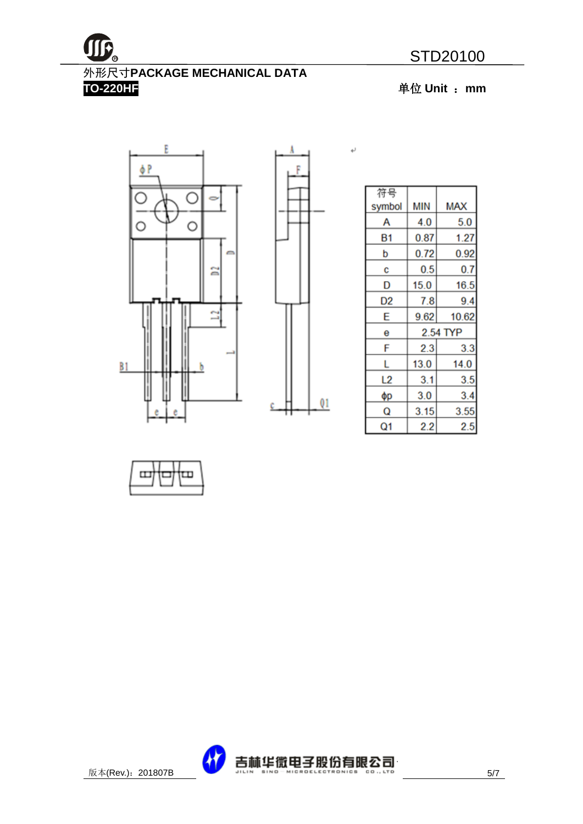# 外形尺寸**PACKAGE MECHANICAL DATA**

**TO-220HF** 单位 **Unit** :**mm**





۱

 $\leftarrow$ 

| 符号     |          |            |  |
|--------|----------|------------|--|
| symbol | MIN      | <b>MAX</b> |  |
| А      | 4.0      | 5.0        |  |
| Β1     | 0.87     | 1.27       |  |
| b      | 0.72     | 0.92       |  |
| C      | 0.5      | 0.7        |  |
| D      | 15.0     | 16.5       |  |
| D2     | 7.8      | 9.4        |  |
| E      | 9.62     | 10.62      |  |
| е      | 2.54 TYP |            |  |
| F      | 2.3      | 3.3        |  |
| L      | 13.0     | 14.0       |  |
| L2     | 3.1      | 3.5        |  |
| φр     | 3.0      | 3.4        |  |
| Q      | 3.15     | 3.55       |  |
| Q1     | 2.2      | 2.5        |  |



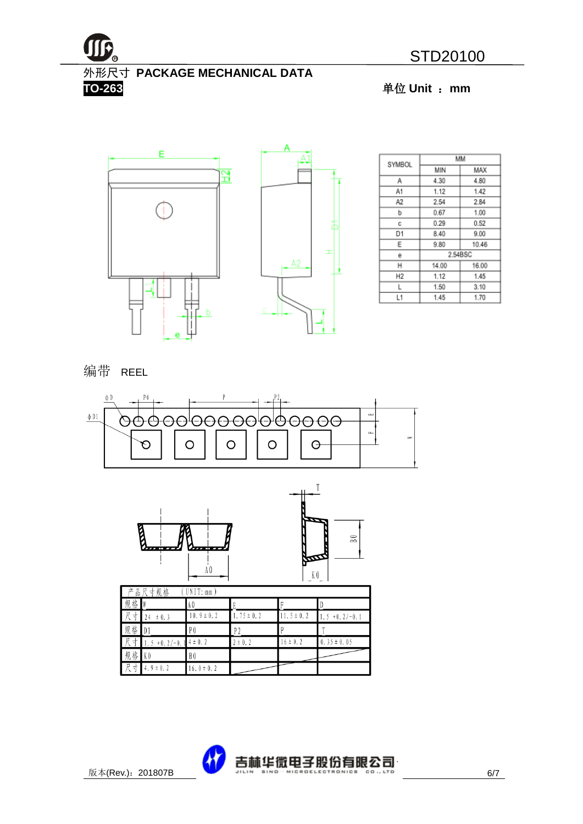

外形尺寸 **PACKAGE MECHANICAL DATA TO-263** 单位 **Unit** :**mm**



|                | MМ      |       |  |  |
|----------------|---------|-------|--|--|
| SYMBOL         | MIN     | MAX   |  |  |
| Α              | 4.30    | 4.80  |  |  |
| A1             | 1.12    | 1.42  |  |  |
| A2             | 2.54    | 2.84  |  |  |
| b              | 0.67    | 1.00  |  |  |
| с              | 0.29    | 0.52  |  |  |
| D1             | 8.40    | 9.00  |  |  |
| Ε              | 9.80    | 10.46 |  |  |
| е              | 2.54BSC |       |  |  |
| н              | 14.00   | 16.00 |  |  |
| H <sub>2</sub> | 1.12    | 1.45  |  |  |
| L              | 1.50    | 3.10  |  |  |
| L1             | 1.45    | 1.70  |  |  |

编带 REEL





| Г<br>品尺寸规格<br>UNIT: mm<br>立 |                 |                |                |               |                    |  |
|-----------------------------|-----------------|----------------|----------------|---------------|--------------------|--|
| 规<br>格                      |                 | A Q            |                |               |                    |  |
| 尺<br>ℸ                      | ± 0.3<br>24     | $10.9 \pm 0.2$ | $.75 \pm 0.2$  | $1.5 \pm 0.2$ | $+0.2/-0.1$<br>. 5 |  |
| 规<br>格                      | $\mathbb{D}$    | P <sub>0</sub> | P <sub>2</sub> |               |                    |  |
| 尺<br>⊀                      | $+0.2/-0.$<br>5 | $4 \pm 0.2$    | $2 \pm 0.2$    | $16 \pm 0.2$  | $0.35 \pm 0.05$    |  |
| 规<br>格                      | K <sub>0</sub>  | B0             |                |               |                    |  |
| R<br>↽                      | 4.9 $\pm$ 0.2   | $6.0 \pm 0.2$  |                |               |                    |  |